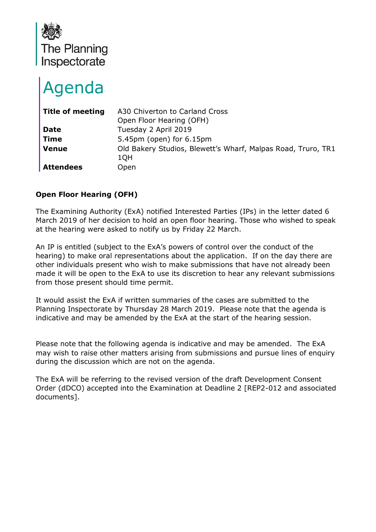

# Agenda

| <b>Title of meeting</b> | A30 Chiverton to Carland Cross                               |
|-------------------------|--------------------------------------------------------------|
|                         | Open Floor Hearing (OFH)                                     |
| <b>Date</b>             | Tuesday 2 April 2019                                         |
| <b>Time</b>             | $5.45$ pm (open) for $6.15$ pm                               |
| <b>Venue</b>            | Old Bakery Studios, Blewett's Wharf, Malpas Road, Truro, TR1 |
|                         | 1QH                                                          |
| <b>Attendees</b>        | Open                                                         |

# **Open Floor Hearing (OFH)**

The Examining Authority (ExA) notified Interested Parties (IPs) in the letter dated 6 March 2019 of her decision to hold an open floor hearing. Those who wished to speak at the hearing were asked to notify us by Friday 22 March.

An IP is entitled (subject to the ExA's powers of control over the conduct of the hearing) to make oral representations about the application. If on the day there are other individuals present who wish to make submissions that have not already been made it will be open to the ExA to use its discretion to hear any relevant submissions from those present should time permit.

It would assist the ExA if written summaries of the cases are submitted to the Planning Inspectorate by Thursday 28 March 2019. Please note that the agenda is indicative and may be amended by the ExA at the start of the hearing session.

Please note that the following agenda is indicative and may be amended. The ExA may wish to raise other matters arising from submissions and pursue lines of enquiry during the discussion which are not on the agenda.

The ExA will be referring to the revised version of the draft Development Consent Order (dDCO) accepted into the Examination at Deadline 2 [REP2-012 and associated documents].